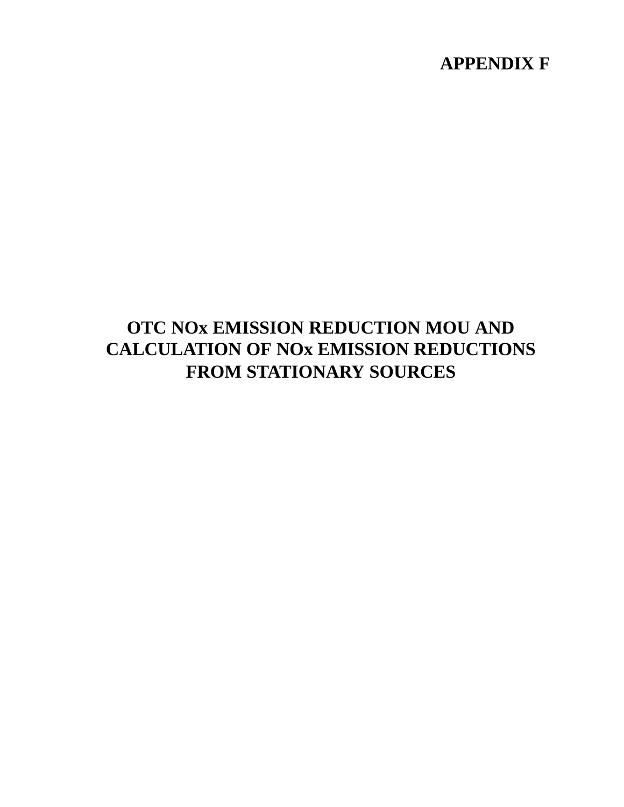# **APPENDIX F**

# **OTC NOx EMISSION REDUCTION MOU AND CALCULATION OF NOx EMISSION REDUCTIONS FROM STATIONARY SOURCES**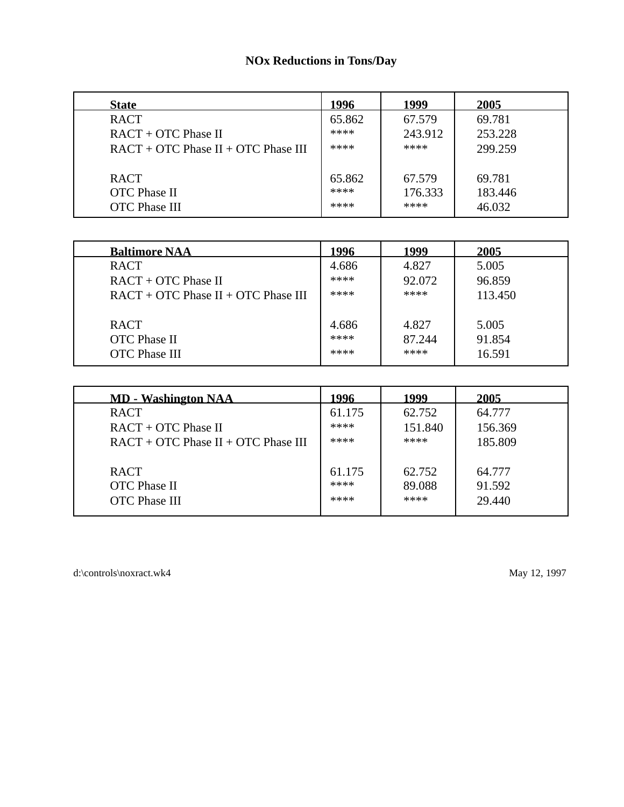# **NOx Reductions in Tons/Day**

| <b>State</b>                          | 1996   | 1999    | 2005    |
|---------------------------------------|--------|---------|---------|
| <b>RACT</b>                           | 65.862 | 67.579  | 69.781  |
| $RACT + OTC Phase II$                 | ****   | 243.912 | 253.228 |
| $RACT + OTC Phase II + OTC Phase III$ | ****   | ****    | 299.259 |
|                                       |        |         |         |
| <b>RACT</b>                           | 65.862 | 67.579  | 69.781  |
| <b>OTC</b> Phase II                   | ****   | 176.333 | 183.446 |
| <b>OTC</b> Phase III                  | ****   | ****    | 46.032  |

| <b>Baltimore NAA</b>                                       | 1996                  | 1999                    | 2005                      |
|------------------------------------------------------------|-----------------------|-------------------------|---------------------------|
| <b>RACT</b>                                                | 4.686                 | 4.827                   | 5.005                     |
| $RACT + OTC Phase II$                                      | ****                  | 92.072                  | 96.859                    |
| $RACT + OTC Phase II + OTC Phase III$                      | ****                  | ****                    | 113.450                   |
| <b>RACT</b><br><b>OTC</b> Phase II<br><b>OTC</b> Phase III | 4.686<br>****<br>**** | 4.827<br>87.244<br>**** | 5.005<br>91.854<br>16.591 |

| <b>MD - Washington NAA</b>                                 | 1996                   | 1999                     | 2005                       |
|------------------------------------------------------------|------------------------|--------------------------|----------------------------|
| <b>RACT</b>                                                | 61.175                 | 62.752                   | 64.777                     |
| $RACT + OTC Phase II$                                      | ****                   | 151.840                  | 156.369                    |
| $RACT + OTC Phase II + OTC Phase III$                      | ****                   | ****                     | 185.809                    |
| <b>RACT</b><br><b>OTC</b> Phase II<br><b>OTC</b> Phase III | 61.175<br>****<br>**** | 62.752<br>89.088<br>**** | 64.777<br>91.592<br>29.440 |

d:\controls\noxract.wk4 May 12, 1997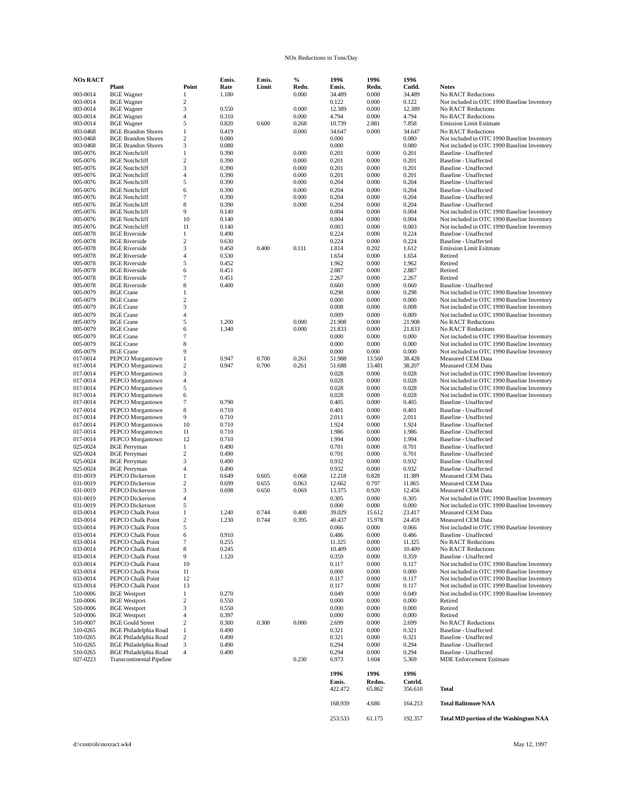### NOx Reductions in Tons/Day

| <b>NOx RACT</b>      |                                                |                                  | Emis.          | Emis. | $\%$           | 1996            | 1996           | 1996            |                                                                                            |
|----------------------|------------------------------------------------|----------------------------------|----------------|-------|----------------|-----------------|----------------|-----------------|--------------------------------------------------------------------------------------------|
|                      | Plant                                          | Point                            | Rate           | Limit | Redn.          | Emis.           | Redn.          | Cntld.          | <b>Notes</b>                                                                               |
| 003-0014<br>003-0014 | <b>BGE</b> Wagner<br><b>BGE</b> Wagner         | 1<br>$\boldsymbol{2}$            | 1.180          |       | 0.000          | 34.489<br>0.122 | 0.000<br>0.000 | 34.489<br>0.122 | No RACT Reductions<br>Not included in OTC 1990 Baseline Inventory                          |
| 003-0014             | <b>BGE</b> Wagner                              | 3                                | 0.550          |       | 0.000          | 12.389          | 0.000          | 12.389          | No RACT Reductions                                                                         |
| 003-0014             | <b>BGE</b> Wagner                              | 4                                | 0.310          |       | 0.000          | 4.794           | 0.000          | 4.794           | <b>No RACT Reductions</b>                                                                  |
| 003-0014             | <b>BGE</b> Wagner                              | 5                                | 0.820          | 0.600 | 0.268          | 10.739          | 2.881          | 7.858           | <b>Emission Limit Estimate</b>                                                             |
| 003-0468             | <b>BGE Brandon Shores</b>                      | $\mathbf{1}$                     | 0.419          |       | 0.000          | 34.647          | 0.000          | 34.647          | <b>No RACT Reductions</b>                                                                  |
| 003-0468             | <b>BGE Brandon Shores</b>                      | $\boldsymbol{2}$                 | 0.080          |       |                | 0.000           |                | 0.080           | Not included in OTC 1990 Baseline Inventory                                                |
| 003-0468             | <b>BGE Brandon Shores</b>                      | 3                                | 0.080          |       |                | 0.000           |                | 0.080           | Not included in OTC 1990 Baseline Inventory                                                |
| 005-0076<br>005-0076 | <b>BGE</b> Notchcliff<br><b>BGE</b> Notchcliff | $1\,$<br>$\overline{\mathbf{c}}$ | 0.390<br>0.390 |       | 0.000<br>0.000 | 0.201<br>0.201  | 0.000<br>0.000 | 0.201<br>0.201  | Baseline - Unaffected<br>Baseline - Unaffected                                             |
| 005-0076             | <b>BGE</b> Notchcliff                          | 3                                | 0.390          |       | 0.000          | 0.201           | 0.000          | 0.201           | Baseline - Unaffected                                                                      |
| 005-0076             | <b>BGE</b> Notchcliff                          | 4                                | 0.390          |       | 0.000          | 0.201           | 0.000          | 0.201           | Baseline - Unaffected                                                                      |
| 005-0076             | <b>BGE</b> Notchcliff                          | 5                                | 0.390          |       | 0.000          | 0.204           | 0.000          | 0.204           | Baseline - Unaffected                                                                      |
| 005-0076             | <b>BGE</b> Notchcliff                          | 6                                | 0.390          |       | 0.000          | 0.204           | 0.000          | 0.204           | <b>Baseline - Unaffected</b>                                                               |
| 005-0076             | <b>BGE</b> Notchcliff                          | 7                                | 0.390          |       | 0.000          | 0.204           | 0.000          | 0.204           | Baseline - Unaffected                                                                      |
| 005-0076             | <b>BGE</b> Notchcliff                          | 8                                | 0.390          |       | 0.000          | 0.204           | 0.000          | 0.204           | <b>Baseline - Unaffected</b>                                                               |
| 005-0076<br>005-0076 | <b>BGE</b> Notchcliff<br><b>BGE</b> Notchcliff | 9<br>10                          | 0.140<br>0.140 |       |                | 0.004<br>0.004  | 0.000<br>0.000 | 0.004<br>0.004  | Not included in OTC 1990 Baseline Inventory<br>Not included in OTC 1990 Baseline Inventory |
| 005-0076             | <b>BGE</b> Notchcliff                          | 11                               | 0.140          |       |                | 0.003           | 0.000          | 0.003           | Not included in OTC 1990 Baseline Inventory                                                |
| 005-0078             | <b>BGE Riverside</b>                           | $\mathbf{1}$                     | 0.490          |       |                | 0.224           | 0.000          | 0.224           | Baseline - Unaffected                                                                      |
| 005-0078             | <b>BGE Riverside</b>                           | $\overline{c}$                   | 0.630          |       |                | 0.224           | 0.000          | 0.224           | Baseline - Unaffected                                                                      |
| 005-0078             | <b>BGE Riverside</b>                           | 3                                | 0.450          | 0.400 | 0.111          | 1.814           | 0.202          | 1.612           | <b>Emission Limit Esitmate</b>                                                             |
| 005-0078             | <b>BGE Riverside</b>                           | 4                                | 0.530          |       |                | 1.654           | 0.000          | 1.654           | Retired                                                                                    |
| 005-0078             | <b>BGE Riverside</b>                           | 5                                | 0.452          |       |                | 1.962           | 0.000          | 1.962           | Retired                                                                                    |
| 005-0078<br>005-0078 | <b>BGE Riverside</b><br><b>BGE Riverside</b>   | 6<br>$\tau$                      | 0.451<br>0.451 |       |                | 2.887<br>2.267  | 0.000<br>0.000 | 2.887<br>2.267  | Retired<br>Retired                                                                         |
| 005-0078             | <b>BGE Riverside</b>                           | 8                                | 0.400          |       |                | 0.660           | 0.000          | 0.660           | Baseline - Unaffected                                                                      |
| 005-0079             | <b>BGE</b> Crane                               | $\mathbf{1}$                     |                |       |                | 0.298           | 0.000          | 0.298           | Not included in OTC 1990 Baseline Inventory                                                |
| 005-0079             | <b>BGE</b> Crane                               | $\boldsymbol{2}$                 |                |       |                | 0.000           | 0.000          | 0.000           | Not included in OTC 1990 Baseline Inventory                                                |
| 005-0079             | <b>BGE</b> Crane                               | 3                                |                |       |                | 0.008           | 0.000          | 0.008           | Not included in OTC 1990 Baseline Inventory                                                |
| 005-0079             | <b>BGE</b> Crane                               | 4                                |                |       |                | 0.009           | 0.000          | 0.009           | Not included in OTC 1990 Baseline Inventory                                                |
| 005-0079             | <b>BGE</b> Crane                               | 5                                | 1.200          |       | 0.000          | 21.908          | 0.000          | 21.908          | No RACT Reductions                                                                         |
| 005-0079<br>005-0079 | <b>BGE</b> Crane<br><b>BGE</b> Crane           | 6<br>7                           | 1.340          |       | 0.000          | 21.833<br>0.000 | 0.000<br>0.000 | 21.833<br>0.000 | No RACT Reductions<br>Not included in OTC 1990 Baseline Inventory                          |
| 005-0079             | <b>BGE</b> Crane                               | 8                                |                |       |                | 0.000           | 0.000          | 0.000           | Not included in OTC 1990 Baseline Inventory                                                |
| 005-0079             | <b>BGE</b> Crane                               | 9                                |                |       |                | 0.000           | 0.000          | 0.000           | Not included in OTC 1990 Baseline Inventory                                                |
| 017-0014             | PEPCO Morgantown                               | $\mathbf{1}$                     | 0.947          | 0.700 | 0.261          | 51.988          | 13.560         | 38.428          | Measured CEM Data                                                                          |
| 017-0014             | PEPCO Morgantown                               | 2                                | 0.947          | 0.700 | 0.261          | 51.688          | 13.481         | 38.207          | Measured CEM Data                                                                          |
| 017-0014             | PEPCO Morgantown                               | 3                                |                |       |                | 0.028           | 0.000          | 0.028           | Not included in OTC 1990 Baseline Inventory                                                |
| 017-0014             | PEPCO Morgantown                               | 4<br>5                           |                |       |                | 0.028           | 0.000          | 0.028           | Not included in OTC 1990 Baseline Inventory                                                |
| 017-0014<br>017-0014 | PEPCO Morgantown<br>PEPCO Morgantown           | 6                                |                |       |                | 0.028<br>0.028  | 0.000<br>0.000 | 0.028<br>0.028  | Not included in OTC 1990 Baseline Inventory<br>Not included in OTC 1990 Baseline Inventory |
| 017-0014             | PEPCO Morgantown                               | 7                                | 0.790          |       |                | 0.405           | 0.000          | 0.405           | <b>Baseline - Unaffected</b>                                                               |
| 017-0014             | PEPCO Morgantown                               | 8                                | 0.710          |       |                | 0.401           | 0.000          | 0.401           | <b>Baseline - Unaffected</b>                                                               |
| 017-0014             | PEPCO Morgantown                               | 9                                | 0.710          |       |                | 2.011           | 0.000          | 2.011           | <b>Baseline - Unaffected</b>                                                               |
| 017-0014             | PEPCO Morgantown                               | 10                               | 0.710          |       |                | 1.924           | 0.000          | 1.924           | <b>Baseline - Unaffected</b>                                                               |
| 017-0014             | PEPCO Morgantown                               | 11                               | 0.710          |       |                | 1.986           | 0.000          | 1.986           | Baseline - Unaffected                                                                      |
| 017-0014<br>025-0024 | PEPCO Morgantown                               | 12<br>$\,1$                      | 0.710<br>0.490 |       |                | 1.994<br>0.701  | 0.000<br>0.000 | 1.994<br>0.701  | <b>Baseline - Unaffected</b><br><b>Baseline - Unaffected</b>                               |
| 025-0024             | <b>BGE</b> Perryman<br><b>BGE</b> Perryman     | $\overline{c}$                   | 0.490          |       |                | 0.701           | 0.000          | 0.701           | Baseline - Unaffected                                                                      |
| 025-0024             | <b>BGE</b> Perryman                            | 3                                | 0.490          |       |                | 0.932           | 0.000          | 0.932           | <b>Baseline - Unaffected</b>                                                               |
| 025-0024             | <b>BGE</b> Perryman                            | 4                                | 0.490          |       |                | 0.932           | 0.000          | 0.932           | Baseline - Unaffected                                                                      |
| 031-0019             | PEPCO Dickerson                                | $\mathbf{1}$                     | 0.649          | 0.605 | 0.068          | 12.218          | 0.828          | 11.389          | Measured CEM Data                                                                          |
| 031-0019             | PEPCO Dickerson                                | $\boldsymbol{2}$                 | 0.699          | 0.655 | 0.063          | 12.662          | 0.797          | 11.865          | Measured CEM Data                                                                          |
| 031-0019             | PEPCO Dickerson                                | 3                                | 0.698          | 0.650 | 0.069          | 13.375          | 0.920          | 12.456          | Measured CEM Data                                                                          |
| 031-0019<br>031-0019 | PEPCO Dickerson<br>PEPCO Dickerson             | 4<br>5                           |                |       |                | 0.305<br>0.000  | 0.000<br>0.000 | 0.305<br>0.000  | Not included in OTC 1990 Baseline Inventory<br>Not included in OTC 1990 Baseline Inventory |
| 033-0014             | PEPCO Chalk Point                              | $\mathbf{1}$                     | 1.240          | 0.744 | 0.400          | 39.029          | 15.612         | 23.417          | Measured CEM Data                                                                          |
| 033-0014             | PEPCO Chalk Point                              | $\boldsymbol{2}$                 | 1.230          | 0.744 | 0.395          | 40.437          | 15.978         | 24.459          | Measured CEM Data                                                                          |
| 033-0014             | PEPCO Chalk Point                              | 5                                |                |       |                | 0.066           | 0.000          | 0.066           | Not included in OTC 1990 Baseline Inventory                                                |
| 033-0014             | PEPCO Chalk Point                              | 6                                | 0.910          |       |                | 0.486           | 0.000          | 0.486           | Baseline - Unaffected                                                                      |
| 033-0014             | PEPCO Chalk Point                              | 7                                | 0.255          |       |                | 11.325          | 0.000          | 11.325          | No RACT Reductions                                                                         |
| 033-0014             | PEPCO Chalk Point                              | 8<br>9                           | 0.245          |       |                | 10.409          | 0.000          | 10.409          | No RACT Reductions                                                                         |
| 033-0014<br>033-0014 | PEPCO Chalk Point<br>PEPCO Chalk Point         | 10                               | 1.120          |       |                | 0.359<br>0.117  | 0.000<br>0.000 | 0.359<br>0.117  | Baseline - Unaffected<br>Not included in OTC 1990 Baseline Inventory                       |
| 033-0014             | PEPCO Chalk Point                              | $11\,$                           |                |       |                | 0.000           | 0.000          | 0.000           | Not included in OTC 1990 Baseline Inventory                                                |
| 033-0014             | PEPCO Chalk Point                              | 12                               |                |       |                | 0.117           | 0.000          | 0.117           | Not included in OTC 1990 Baseline Inventory                                                |
| 033-0014             | PEPCO Chalk Point                              | 13                               |                |       |                | 0.117           | 0.000          | 0.117           | Not included in OTC 1990 Baseline Inventory                                                |
| 510-0006             | <b>BGE</b> Westport                            | $\,1$                            | 0.270          |       |                | 0.049           | 0.000          | 0.049           | Not included in OTC 1990 Baseline Inventory                                                |
| 510-0006             | <b>BGE</b> Westport                            | $\boldsymbol{2}$                 | 0.550          |       |                | 0.000           | 0.000          | 0.000           | Retired                                                                                    |
| 510-0006<br>510-0006 | <b>BGE</b> Westport<br><b>BGE</b> Westport     | 3<br>4                           | 0.550<br>0.397 |       |                | 0.000<br>0.000  | 0.000<br>0.000 | 0.000<br>0.000  | Retired<br>Retired                                                                         |
| 510-0007             | <b>BGE Gould Street</b>                        | $\boldsymbol{2}$                 | 0.300          | 0.300 | 0.000          | 2.699           | 0.000          | 2.699           | No RACT Reductions                                                                         |
| 510-0265             | <b>BGE Philadelphia Road</b>                   | $\mathbf{1}$                     | 0.490          |       |                | 0.321           | 0.000          | 0.321           | Baseline - Unaffected                                                                      |
| 510-0265             | <b>BGE Philadelphia Road</b>                   | $\,2$                            | 0.490          |       |                | 0.321           | 0.000          | 0.321           | Baseline - Unaffected                                                                      |
| 510-0265             | <b>BGE Philadelphia Road</b>                   | 3                                | 0.490          |       |                | 0.294           | 0.000          | 0.294           | Baseline - Unaffected                                                                      |
| 510-0265             | <b>BGE Philadelphia Road</b>                   | $\overline{4}$                   | 0.490          |       |                | 0.294           | 0.000          | 0.294           | Baseline - Unaffected                                                                      |
| 027-0223             | <b>Transcontinental Pipeline</b>               |                                  |                |       | 0.230          | 6.973           | 1.604          | 5.369           | <b>MDE Enforcement Estimate</b>                                                            |
|                      |                                                |                                  |                |       |                | 1996            | 1996           | 1996            |                                                                                            |
|                      |                                                |                                  |                |       |                | Emis.           | Redns.         | Cntrld.         |                                                                                            |
|                      |                                                |                                  |                |       |                | 422.472         | 65.862         | 356.610         | <b>Total</b>                                                                               |
|                      |                                                |                                  |                |       |                |                 |                |                 |                                                                                            |
|                      |                                                |                                  |                |       |                | 168.939         | 4.686          | 164.253         | <b>Total Balitmore NAA</b>                                                                 |

253.533 61.175 192.357 **Total MD portion of the Washington NAA**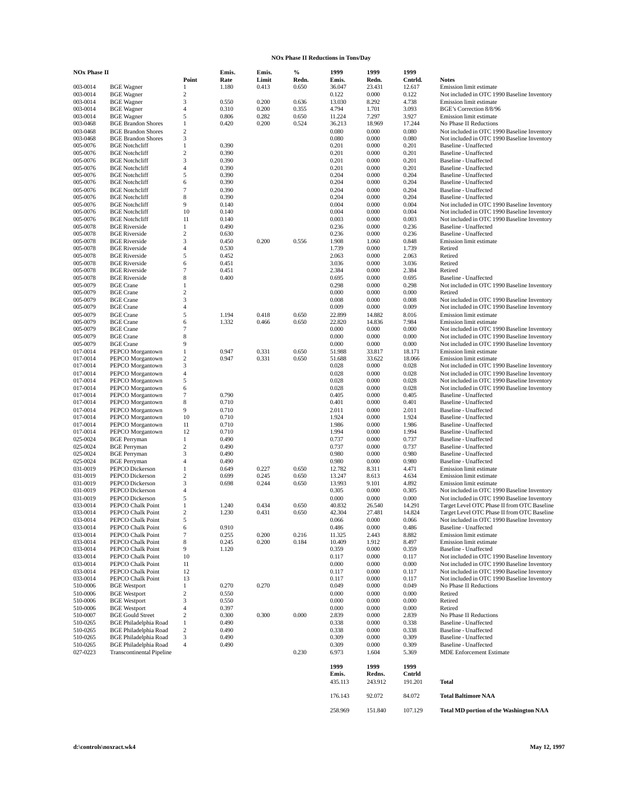#### **NOx Phase II Reductions in Tons/Day**

| <b>NOx Phase II</b>  |                                                                  |                                  | Emis.          | Emis.          | $\%$           | 1999             | 1999              | 1999              |                                                                                            |
|----------------------|------------------------------------------------------------------|----------------------------------|----------------|----------------|----------------|------------------|-------------------|-------------------|--------------------------------------------------------------------------------------------|
| 003-0014             | <b>BGE</b> Wagner                                                | Point<br>1                       | Rate<br>1.180  | Limit<br>0.413 | Redn.<br>0.650 | Emis.<br>36.047  | Redn.<br>23.431   | Cntrld.<br>12.617 | <b>Notes</b><br>Emission limit estimate                                                    |
| 003-0014             | <b>BGE</b> Wagner                                                | 2                                |                |                |                | 0.122            | 0.000             | 0.122             | Not included in OTC 1990 Baseline Inventory                                                |
| 003-0014             | <b>BGE</b> Wagner                                                | 3                                | 0.550          | 0.200          | 0.636          | 13.030           | 8.292             | 4.738             | Emission limit estimate                                                                    |
| 003-0014             | <b>BGE</b> Wagner                                                | 4                                | 0.310          | 0.200          | 0.355          | 4.794            | 1.701             | 3.093             | BGE's Correction 8/8/96                                                                    |
| 003-0014             | <b>BGE</b> Wagner                                                | 5                                | 0.806          | 0.282          | 0.650          | 11.224           | 7.297             | 3.927             | Emission limit estimate                                                                    |
| 003-0468<br>003-0468 | <b>BGE Brandon Shores</b><br><b>BGE Brandon Shores</b>           | $\mathbf{1}$<br>$\boldsymbol{2}$ | 0.420          | 0.200          | 0.524          | 36.213<br>0.080  | 18.969<br>0.000   | 17.244<br>0.080   | No Phase II Reductions<br>Not included in OTC 1990 Baseline Inventory                      |
| 003-0468             | <b>BGE Brandon Shores</b>                                        | 3                                |                |                |                | 0.080            | 0.000             | 0.080             | Not included in OTC 1990 Baseline Inventory                                                |
| 005-0076             | <b>BGE</b> Notchcliff                                            | $\mathbf{1}$                     | 0.390          |                |                | 0.201            | 0.000             | 0.201             | Baseline - Unaffected                                                                      |
| 005-0076             | <b>BGE</b> Notchcliff                                            | $\mathbf{2}$                     | 0.390          |                |                | 0.201            | 0.000             | 0.201             | <b>Baseline - Unaffected</b>                                                               |
| 005-0076<br>005-0076 | <b>BGE</b> Notchcliff                                            | 3                                | 0.390          |                |                | 0.201            | 0.000             | 0.201             | Baseline - Unaffected                                                                      |
| 005-0076             | <b>BGE</b> Notchcliff<br><b>BGE</b> Notchcliff                   | 4<br>5                           | 0.390<br>0.390 |                |                | 0.201<br>0.204   | 0.000<br>0.000    | 0.201<br>0.204    | Baseline - Unaffected<br>Baseline - Unaffected                                             |
| 005-0076             | <b>BGE</b> Notchcliff                                            | 6                                | 0.390          |                |                | 0.204            | 0.000             | 0.204             | Baseline - Unaffected                                                                      |
| 005-0076             | <b>BGE</b> Notchcliff                                            | 7                                | 0.390          |                |                | 0.204            | 0.000             | 0.204             | <b>Baseline - Unaffected</b>                                                               |
| 005-0076             | <b>BGE</b> Notchcliff                                            | 8                                | 0.390          |                |                | 0.204            | 0.000             | 0.204             | Baseline - Unaffected                                                                      |
| 005-0076<br>005-0076 | <b>BGE</b> Notchcliff<br><b>BGE</b> Notchcliff                   | 9<br>10                          | 0.140<br>0.140 |                |                | 0.004<br>0.004   | 0.000<br>0.000    | 0.004<br>0.004    | Not included in OTC 1990 Baseline Inventory<br>Not included in OTC 1990 Baseline Inventory |
| 005-0076             | <b>BGE</b> Notchcliff                                            | 11                               | 0.140          |                |                | 0.003            | 0.000             | 0.003             | Not included in OTC 1990 Baseline Inventory                                                |
| 005-0078             | <b>BGE Riverside</b>                                             | $\mathbf{1}$                     | 0.490          |                |                | 0.236            | 0.000             | 0.236             | <b>Baseline - Unaffected</b>                                                               |
| 005-0078             | <b>BGE Riverside</b>                                             | $\boldsymbol{2}$                 | 0.630          |                |                | 0.236            | 0.000             | 0.236             | Baseline - Unaffected                                                                      |
| 005-0078             | <b>BGE Riverside</b><br><b>BGE Riverside</b>                     | 3<br>4                           | 0.450          | 0.200          | 0.556          | 1.908            | 1.060             | 0.848             | Emission limit estimate<br>Retired                                                         |
| 005-0078<br>005-0078 | <b>BGE Riverside</b>                                             | 5                                | 0.530<br>0.452 |                |                | 1.739<br>2.063   | 0.000<br>0.000    | 1.739<br>2.063    | Retired                                                                                    |
| 005-0078             | <b>BGE Riverside</b>                                             | 6                                | 0.451          |                |                | 3.036            | 0.000             | 3.036             | Retired                                                                                    |
| 005-0078             | <b>BGE Riverside</b>                                             | 7                                | 0.451          |                |                | 2.384            | 0.000             | 2.384             | Retired                                                                                    |
| 005-0078             | <b>BGE Riverside</b>                                             | 8                                | 0.400          |                |                | 0.695            | 0.000             | 0.695             | Baseline - Unaffected                                                                      |
| 005-0079<br>005-0079 | <b>BGE</b> Crane<br><b>BGE</b> Crane                             | $\mathbf{1}$<br>$\mathbf{2}$     |                |                |                | 0.298<br>0.000   | 0.000<br>0.000    | 0.298<br>0.000    | Not included in OTC 1990 Baseline Inventory<br>Retired                                     |
| 005-0079             | <b>BGE</b> Crane                                                 | 3                                |                |                |                | 0.008            | 0.000             | 0.008             | Not included in OTC 1990 Baseline Inventory                                                |
| 005-0079             | <b>BGE</b> Crane                                                 | 4                                |                |                |                | 0.009            | 0.000             | 0.009             | Not included in OTC 1990 Baseline Inventory                                                |
| 005-0079             | <b>BGE</b> Crane                                                 | 5                                | 1.194          | 0.418          | 0.650          | 22.899           | 14.882            | 8.016             | Emission limit estimate                                                                    |
| 005-0079             | <b>BGE</b> Crane<br><b>BGE</b> Crane                             | 6                                | 1.332          | 0.466          | 0.650          | 22.820           | 14.836            | 7.984             | Emission limit estimate                                                                    |
| 005-0079<br>005-0079 | <b>BGE</b> Crane                                                 | 7<br>8                           |                |                |                | 0.000<br>0.000   | 0.000<br>0.000    | 0.000<br>0.000    | Not included in OTC 1990 Baseline Inventory<br>Not included in OTC 1990 Baseline Inventory |
| 005-0079             | <b>BGE</b> Crane                                                 | 9                                |                |                |                | 0.000            | 0.000             | 0.000             | Not included in OTC 1990 Baseline Inventory                                                |
| 017-0014             | PEPCO Morgantown                                                 | $\mathbf{1}$                     | 0.947          | 0.331          | 0.650          | 51.988           | 33.817            | 18.171            | Emission limit estimate                                                                    |
| 017-0014             | PEPCO Morgantown                                                 | $\boldsymbol{2}$                 | 0.947          | 0.331          | 0.650          | 51.688           | 33.622            | 18.066            | Emission limit estimate                                                                    |
| 017-0014<br>017-0014 | PEPCO Morgantown<br>PEPCO Morgantown                             | 3<br>$\overline{\mathbf{4}}$     |                |                |                | 0.028<br>0.028   | 0.000<br>0.000    | 0.028<br>0.028    | Not included in OTC 1990 Baseline Inventory<br>Not included in OTC 1990 Baseline Inventory |
| 017-0014             | PEPCO Morgantown                                                 | 5                                |                |                |                | 0.028            | 0.000             | 0.028             | Not included in OTC 1990 Baseline Inventory                                                |
| 017-0014             | PEPCO Morgantown                                                 | 6                                |                |                |                | 0.028            | 0.000             | 0.028             | Not included in OTC 1990 Baseline Inventory                                                |
| 017-0014             | PEPCO Morgantown                                                 | $\tau$                           | 0.790          |                |                | 0.405            | 0.000             | 0.405             | Baseline - Unaffected                                                                      |
| 017-0014<br>017-0014 | PEPCO Morgantown                                                 | 8<br>9                           | 0.710          |                |                | 0.401<br>2.011   | 0.000             | 0.401<br>2.011    | <b>Baseline - Unaffected</b><br><b>Baseline - Unaffected</b>                               |
| 017-0014             | PEPCO Morgantown<br>PEPCO Morgantown                             | 10                               | 0.710<br>0.710 |                |                | 1.924            | 0.000<br>0.000    | 1.924             | Baseline - Unaffected                                                                      |
| 017-0014             | PEPCO Morgantown                                                 | 11                               | 0.710          |                |                | 1.986            | 0.000             | 1.986             | Baseline - Unaffected                                                                      |
| 017-0014             | PEPCO Morgantown                                                 | 12                               | 0.710          |                |                | 1.994            | 0.000             | 1.994             | Baseline - Unaffected                                                                      |
| 025-0024             | <b>BGE</b> Perryman                                              | $\mathbf{1}$                     | 0.490          |                |                | 0.737            | 0.000             | 0.737             | Baseline - Unaffected                                                                      |
| 025-0024<br>025-0024 | <b>BGE</b> Perryman<br><b>BGE</b> Perryman                       | $\overline{c}$<br>3              | 0.490<br>0.490 |                |                | 0.737<br>0.980   | 0.000<br>0.000    | 0.737<br>0.980    | <b>Baseline - Unaffected</b><br>Baseline - Unaffected                                      |
| 025-0024             | <b>BGE</b> Perryman                                              | 4                                | 0.490          |                |                | 0.980            | 0.000             | 0.980             | Baseline - Unaffected                                                                      |
| 031-0019             | PEPCO Dickerson                                                  | 1                                | 0.649          | 0.227          | 0.650          | 12.782           | 8.311             | 4.471             | Emission limit estimate                                                                    |
| 031-0019             | PEPCO Dickerson                                                  | 2                                | 0.699          | 0.245          | 0.650          | 13.247           | 8.613             | 4.634             | Emission limit estimate                                                                    |
| 031-0019<br>031-0019 | PEPCO Dickerson<br>PEPCO Dickerson                               | 3<br>4                           | 0.698          | 0.244          | 0.650          | 13.993<br>0.305  | 9.101<br>0.000    | 4.892<br>0.305    | Emission limit estimate<br>Not included in OTC 1990 Baseline Inventory                     |
| 031-0019             | PEPCO Dickerson                                                  | 5                                |                |                |                | 0.000            | 0.000             | 0.000             | Not included in OTC 1990 Baseline Inventory                                                |
| 033-0014             | PEPCO Chalk Point                                                | $\mathbf{1}$                     | 1.240          | 0.434          | 0.650          | 40.832           | 26.540            | 14.291            | Target Level OTC Phase II from OTC Baseline                                                |
| 033-0014             | PEPCO Chalk Point                                                | 2                                | 1.230          | 0.431          | 0.650          | 42.304           | 27.481            | 14.824            | Target Level OTC Phase II from OTC Baseline                                                |
| 033-0014             | PEPCO Chalk Point                                                | 5                                |                |                |                | 0.066            | 0.000             | 0.066             | Not included in OTC 1990 Baseline Inventory                                                |
| 033-0014<br>033-0014 | PEPCO Chalk Point<br>PEPCO Chalk Point                           | 6<br>7                           | 0.910<br>0.255 | 0.200          | 0.216          | 0.486<br>11.325  | 0.000<br>2.443    | 0.486<br>8.882    | Baseline - Unaffected<br>Emission limit estimate                                           |
| 033-0014             | PEPCO Chalk Point                                                | 8                                | 0.245          | 0.200          | 0.184          | 10.409           | 1.912             | 8.497             | Emission limit estimate                                                                    |
| 033-0014             | PEPCO Chalk Point                                                | 9                                | 1.120          |                |                | 0.359            | 0.000             | 0.359             | <b>Baseline - Unaffected</b>                                                               |
| 033-0014             | PEPCO Chalk Point                                                | $10\,$                           |                |                |                | 0.117            | 0.000             | 0.117             | Not included in OTC 1990 Baseline Inventory                                                |
| 033-0014<br>033-0014 | PEPCO Chalk Point<br>PEPCO Chalk Point                           | 11<br>12                         |                |                |                | 0.000<br>0.117   | 0.000<br>0.000    | 0.000<br>0.117    | Not included in OTC 1990 Baseline Inventory<br>Not included in OTC 1990 Baseline Inventory |
| 033-0014             | PEPCO Chalk Point                                                | 13                               |                |                |                | 0.117            | 0.000             | 0.117             | Not included in OTC 1990 Baseline Inventory                                                |
| 510-0006             | <b>BGE</b> Westport                                              | $\mathbf{1}$                     | 0.270          | 0.270          |                | 0.049            | 0.000             | 0.049             | No Phase II Reductions                                                                     |
| 510-0006             | <b>BGE</b> Westport                                              | $\boldsymbol{2}$                 | 0.550          |                |                | 0.000            | 0.000             | 0.000             | Retired                                                                                    |
| 510-0006<br>510-0006 | <b>BGE</b> Westport<br><b>BGE</b> Westport                       | 3<br>4                           | 0.550<br>0.397 |                |                | 0.000<br>0.000   | 0.000<br>0.000    | 0.000<br>0.000    | Retired<br>Retired                                                                         |
| 510-0007             | <b>BGE Gould Street</b>                                          | $\overline{c}$                   | 0.300          | 0.300          | 0.000          | 2.839            | 0.000             | 2.839             | No Phase II Reductions                                                                     |
| 510-0265             | <b>BGE Philadelphia Road</b>                                     | $\mathbf{1}$                     | 0.490          |                |                | 0.338            | 0.000             | 0.338             | <b>Baseline - Unaffected</b>                                                               |
| 510-0265             | <b>BGE Philadelphia Road</b>                                     | $\,2$                            | 0.490          |                |                | 0.338            | 0.000             | 0.338             | Baseline - Unaffected                                                                      |
| 510-0265             | <b>BGE Philadelphia Road</b>                                     | 3                                | 0.490          |                |                | 0.309            | 0.000             | 0.309             | Baseline - Unaffected                                                                      |
| 510-0265<br>027-0223 | <b>BGE Philadelphia Road</b><br><b>Transcontinental Pipeline</b> | $\overline{4}$                   | 0.490          |                | 0.230          | 0.309<br>6.973   | 0.000<br>1.604    | 0.309<br>5.369    | Baseline - Unaffected<br><b>MDE Enforcement Estimate</b>                                   |
|                      |                                                                  |                                  |                |                |                |                  |                   |                   |                                                                                            |
|                      |                                                                  |                                  |                |                |                | 1999             | 1999              | 1999              |                                                                                            |
|                      |                                                                  |                                  |                |                |                | Emis.<br>435.113 | Redns.<br>243.912 | Cntrld<br>191.201 | <b>Total</b>                                                                               |
|                      |                                                                  |                                  |                |                |                |                  |                   |                   |                                                                                            |
|                      |                                                                  |                                  |                |                |                | 176.143          | 92.072            | 84.072            | <b>Total Baltimore NAA</b>                                                                 |

**d:\controls\noxract.wk4 May 12, 1997**

258.969 151.840 107.129 **Total MD portion of the Washington NAA**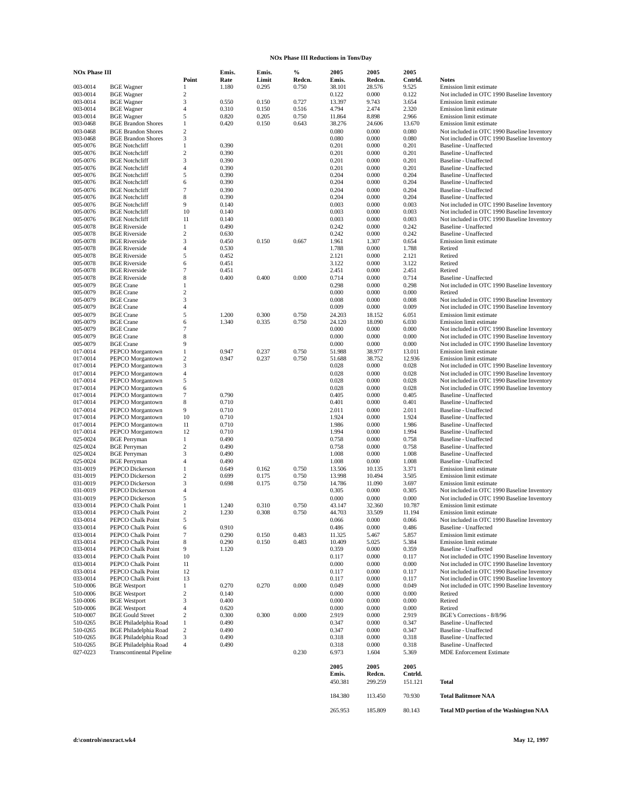#### **NOx Phase III Reductions in Tons/Day**

| <b>NOx Phase III</b> |                                                |                   | Emis.          | Emis. | %      | 2005            | 2005            | 2005           |                                                                                            |
|----------------------|------------------------------------------------|-------------------|----------------|-------|--------|-----------------|-----------------|----------------|--------------------------------------------------------------------------------------------|
|                      |                                                | Point             | Rate           | Limit | Redcn. | Emis.           | Redcn.          | Cntrld.        | <b>Notes</b>                                                                               |
| 003-0014             | <b>BGE</b> Wagner                              | $\mathbf{1}$      | 1.180          | 0.295 | 0.750  | 38.101          | 28.576          | 9.525          | Emission limit estimate                                                                    |
| 003-0014<br>003-0014 | <b>BGE</b> Wagner<br><b>BGE</b> Wagner         | 2<br>3            | 0.550          | 0.150 | 0.727  | 0.122<br>13.397 | 0.000<br>9.743  | 0.122<br>3.654 | Not included in OTC 1990 Baseline Inventory<br>Emission limit estimate                     |
| 003-0014             | <b>BGE</b> Wagner                              | 4                 | 0.310          | 0.150 | 0.516  | 4.794           | 2.474           | 2.320          | Emission limit estimate                                                                    |
| 003-0014             | <b>BGE</b> Wagner                              | 5                 | 0.820          | 0.205 | 0.750  | 11.864          | 8.898           | 2.966          | Emission limit estimate                                                                    |
| 003-0468             | <b>BGE Brandon Shores</b>                      | $\mathbf{1}$      | 0.420          | 0.150 | 0.643  | 38.276          | 24.606          | 13.670         | Emission limit estimate                                                                    |
| 003-0468             | <b>BGE Brandon Shores</b>                      | $\overline{c}$    |                |       |        | 0.080           | 0.000           | 0.080          | Not included in OTC 1990 Baseline Inventory                                                |
| 003-0468             | <b>BGE Brandon Shores</b>                      | 3                 |                |       |        | 0.080           | 0.000           | 0.080          | Not included in OTC 1990 Baseline Inventory                                                |
| 005-0076             | <b>BGE</b> Notchcliff                          | $\mathbf{1}$      | 0.390          |       |        | 0.201           | 0.000           | 0.201          | Baseline - Unaffected                                                                      |
| 005-0076             | <b>BGE</b> Notchcliff                          | $\mathbf{2}$      | 0.390          |       |        | 0.201           | 0.000           | 0.201          | <b>Baseline - Unaffected</b>                                                               |
| 005-0076<br>005-0076 | <b>BGE</b> Notchcliff<br><b>BGE Notchcliff</b> | 3<br>4            | 0.390<br>0.390 |       |        | 0.201<br>0.201  | 0.000<br>0.000  | 0.201<br>0.201 | <b>Baseline - Unaffected</b><br><b>Baseline - Unaffected</b>                               |
| 005-0076             | <b>BGE</b> Notchcliff                          | 5                 | 0.390          |       |        | 0.204           | 0.000           | 0.204          | Baseline - Unaffected                                                                      |
| 005-0076             | <b>BGE</b> Notchcliff                          | 6                 | 0.390          |       |        | 0.204           | 0.000           | 0.204          | Baseline - Unaffected                                                                      |
| 005-0076             | <b>BGE Notchcliff</b>                          | 7                 | 0.390          |       |        | 0.204           | 0.000           | 0.204          | <b>Baseline - Unaffected</b>                                                               |
| 005-0076             | <b>BGE</b> Notchcliff                          | 8                 | 0.390          |       |        | 0.204           | 0.000           | 0.204          | <b>Baseline - Unaffected</b>                                                               |
| 005-0076             | <b>BGE</b> Notchcliff                          | 9                 | 0.140          |       |        | 0.003           | 0.000           | 0.003          | Not included in OTC 1990 Baseline Inventory                                                |
| 005-0076             | <b>BGE</b> Notchcliff                          | 10                | 0.140          |       |        | 0.003           | 0.000           | 0.003          | Not included in OTC 1990 Baseline Inventory                                                |
| 005-0076             | <b>BGE</b> Notchcliff                          | 11                | 0.140          |       |        | 0.003           | 0.000           | 0.003          | Not included in OTC 1990 Baseline Inventory                                                |
| 005-0078<br>005-0078 | <b>BGE Riverside</b><br><b>BGE Riverside</b>   | $\mathbf{1}$<br>2 | 0.490<br>0.630 |       |        | 0.242<br>0.242  | 0.000<br>0.000  | 0.242<br>0.242 | <b>Baseline - Unaffected</b><br><b>Baseline - Unaffected</b>                               |
| 005-0078             | <b>BGE Riverside</b>                           | 3                 | 0.450          | 0.150 | 0.667  | 1.961           | 1.307           | 0.654          | Emission limit estimate                                                                    |
| 005-0078             | <b>BGE Riverside</b>                           | 4                 | 0.530          |       |        | 1.788           | 0.000           | 1.788          | Retired                                                                                    |
| 005-0078             | <b>BGE Riverside</b>                           | 5                 | 0.452          |       |        | 2.121           | 0.000           | 2.121          | Retired                                                                                    |
| 005-0078             | <b>BGE Riverside</b>                           | 6                 | 0.451          |       |        | 3.122           | 0.000           | 3.122          | Retired                                                                                    |
| 005-0078             | <b>BGE Riverside</b>                           | 7                 | 0.451          |       |        | 2.451           | 0.000           | 2.451          | Retired                                                                                    |
| 005-0078             | <b>BGE Riverside</b>                           | 8                 | 0.400          | 0.400 | 0.000  | 0.714           | 0.000           | 0.714          | <b>Baseline - Unaffected</b>                                                               |
| 005-0079             | <b>BGE</b> Crane                               | 1                 |                |       |        | 0.298           | 0.000           | 0.298          | Not included in OTC 1990 Baseline Inventory                                                |
| 005-0079             | <b>BGE</b> Crane                               | $\overline{c}$    |                |       |        | 0.000           | 0.000           | 0.000          | Retired                                                                                    |
| 005-0079             | <b>BGE</b> Crane                               | 3                 |                |       |        | 0.008           | 0.000           | 0.008          | Not included in OTC 1990 Baseline Inventory                                                |
| 005-0079<br>005-0079 | <b>BGE</b> Crane<br><b>BGE</b> Crane           | 4<br>5            | 1.200          | 0.300 | 0.750  | 0.009<br>24.203 | 0.000<br>18.152 | 0.009<br>6.051 | Not included in OTC 1990 Baseline Inventory<br>Emission limit estimate                     |
| 005-0079             | <b>BGE</b> Crane                               | 6                 | 1.340          | 0.335 | 0.750  | 24.120          | 18.090          | 6.030          | Emission limit estimate                                                                    |
| 005-0079             | <b>BGE</b> Crane                               | 7                 |                |       |        | 0.000           | 0.000           | 0.000          | Not included in OTC 1990 Baseline Inventory                                                |
| 005-0079             | <b>BGE</b> Crane                               | 8                 |                |       |        | 0.000           | 0.000           | 0.000          | Not included in OTC 1990 Baseline Inventory                                                |
| 005-0079             | <b>BGE</b> Crane                               | 9                 |                |       |        | 0.000           | 0.000           | 0.000          | Not included in OTC 1990 Baseline Inventory                                                |
| 017-0014             | PEPCO Morgantown                               | $\mathbf{1}$      | 0.947          | 0.237 | 0.750  | 51.988          | 38.977          | 13.011         | Emission limit estimate                                                                    |
| 017-0014             | PEPCO Morgantown                               | $\boldsymbol{2}$  | 0.947          | 0.237 | 0.750  | 51.688          | 38.752          | 12.936         | Emission limit estimate                                                                    |
| 017-0014             | PEPCO Morgantown                               | 3                 |                |       |        | 0.028           | 0.000           | 0.028          | Not included in OTC 1990 Baseline Inventory                                                |
| 017-0014             | PEPCO Morgantown                               | 4                 |                |       |        | 0.028           | 0.000           | 0.028          | Not included in OTC 1990 Baseline Inventory                                                |
| 017-0014<br>017-0014 | PEPCO Morgantown<br>PEPCO Morgantown           | 5<br>6            |                |       |        | 0.028<br>0.028  | 0.000<br>0.000  | 0.028<br>0.028 | Not included in OTC 1990 Baseline Inventory<br>Not included in OTC 1990 Baseline Inventory |
| 017-0014             | PEPCO Morgantown                               | $\tau$            | 0.790          |       |        | 0.405           | 0.000           | 0.405          | Baseline - Unaffected                                                                      |
| 017-0014             | PEPCO Morgantown                               | 8                 | 0.710          |       |        | 0.401           | 0.000           | 0.401          | <b>Baseline - Unaffected</b>                                                               |
| 017-0014             | PEPCO Morgantown                               | 9                 | 0.710          |       |        | 2.011           | 0.000           | 2.011          | <b>Baseline - Unaffected</b>                                                               |
| 017-0014             | PEPCO Morgantown                               | 10                | 0.710          |       |        | 1.924           | 0.000           | 1.924          | <b>Baseline - Unaffected</b>                                                               |
| 017-0014             | PEPCO Morgantown                               | 11                | 0.710          |       |        | 1.986           | 0.000           | 1.986          | <b>Baseline - Unaffected</b>                                                               |
| 017-0014             | PEPCO Morgantown                               | 12                | 0.710          |       |        | 1.994           | 0.000           | 1.994          | <b>Baseline - Unaffected</b>                                                               |
| 025-0024             | <b>BGE</b> Perryman                            | $\mathbf{1}$      | 0.490          |       |        | 0.758           | 0.000           | 0.758          | <b>Baseline - Unaffected</b>                                                               |
| 025-0024<br>025-0024 | <b>BGE</b> Perryman<br><b>BGE</b> Perryman     | $\mathbf{2}$<br>3 | 0.490<br>0.490 |       |        | 0.758<br>1.008  | 0.000<br>0.000  | 0.758<br>1.008 | <b>Baseline - Unaffected</b><br><b>Baseline - Unaffected</b>                               |
| 025-0024             | <b>BGE</b> Perryman                            | 4                 | 0.490          |       |        | 1.008           | 0.000           | 1.008          | <b>Baseline - Unaffected</b>                                                               |
| 031-0019             | PEPCO Dickerson                                | $\mathbf{1}$      | 0.649          | 0.162 | 0.750  | 13.506          | 10.135          | 3.371          | Emission limit estimate                                                                    |
| 031-0019             | PEPCO Dickerson                                | $\mathbf{2}$      | 0.699          | 0.175 | 0.750  | 13.998          | 10.494          | 3.505          | Emission limit estimate                                                                    |
| 031-0019             | PEPCO Dickerson                                | 3                 | 0.698          | 0.175 | 0.750  | 14.786          | 11.090          | 3.697          | Emission limit estimate                                                                    |
| 031-0019             | PEPCO Dickerson                                | 4                 |                |       |        | 0.305           | 0.000           | 0.305          | Not included in OTC 1990 Baseline Inventory                                                |
| 031-0019             | PEPCO Dickerson                                | 5                 |                |       |        | 0.000           | 0.000           | 0.000          | Not included in OTC 1990 Baseline Inventory                                                |
| 033-0014             | PEPCO Chalk Point                              | $\mathbf{1}$      | 1.240          | 0.310 | 0.750  | 43.147          | 32.360          | 10.787         | Emission limit estimate                                                                    |
| 033-0014             | PEPCO Chalk Point                              | $\overline{c}$    | 1.230          | 0.308 | 0.750  | 44.703          | 33.509          | 11.194         | Emission limit estimate                                                                    |
| 033-0014             | PEPCO Chalk Point                              | 5                 |                |       |        | 0.066           | 0.000           | 0.066          | Not included in OTC 1990 Baseline Inventory                                                |
| 033-0014<br>033-0014 | PEPCO Chalk Point<br>PEPCO Chalk Point         | 6<br>$\tau$       | 0.910<br>0.290 | 0.150 | 0.483  | 0.486<br>11.325 | 0.000<br>5.467  | 0.486<br>5.857 | Baseline - Unaffected<br>Emission limit estimate                                           |
| 033-0014             | PEPCO Chalk Point                              | 8                 | 0.290          | 0.150 | 0.483  | 10.409          | 5.025           | 5.384          | Emission limit estimate                                                                    |
| 033-0014             | PEPCO Chalk Point                              | 9                 | 1.120          |       |        | 0.359           | 0.000           | 0.359          | Baseline - Unaffected                                                                      |
| 033-0014             | PEPCO Chalk Point                              | 10                |                |       |        | 0.117           | 0.000           | 0.117          | Not included in OTC 1990 Baseline Inventory                                                |
| 033-0014             | PEPCO Chalk Point                              | 11                |                |       |        | 0.000           | 0.000           | 0.000          | Not included in OTC 1990 Baseline Inventory                                                |
| 033-0014             | PEPCO Chalk Point                              | 12                |                |       |        | 0.117           | 0.000           | 0.117          | Not included in OTC 1990 Baseline Inventory                                                |
| 033-0014             | PEPCO Chalk Point                              | 13                |                |       |        | 0.117           | 0.000           | 0.117          | Not included in OTC 1990 Baseline Inventory                                                |
| 510-0006             | <b>BGE</b> Westport                            | $\mathbf{1}$      | 0.270          | 0.270 | 0.000  | 0.049           | 0.000           | 0.049          | Not included in OTC 1990 Baseline Inventory                                                |
| 510-0006             | <b>BGE</b> Westport                            | $\boldsymbol{2}$  | 0.140          |       |        | 0.000           | 0.000           | 0.000          | Retired                                                                                    |
| 510-0006<br>510-0006 | <b>BGE</b> Westport<br><b>BGE</b> Westport     | 3<br>4            | 0.400<br>0.620 |       |        | 0.000<br>0.000  | 0.000<br>0.000  | 0.000<br>0.000 | Retired<br>Retired                                                                         |
| 510-0007             | <b>BGE Gould Street</b>                        | $\overline{c}$    | 0.300          | 0.300 | 0.000  | 2.919           | 0.000           | 2.919          | BGE's Corrections - 8/8/96                                                                 |
| 510-0265             | <b>BGE Philadelphia Road</b>                   | $\mathbf{1}$      | 0.490          |       |        | 0.347           | 0.000           | 0.347          | <b>Baseline - Unaffected</b>                                                               |
| 510-0265             | <b>BGE Philadelphia Road</b>                   | $\,2$             | 0.490          |       |        | 0.347           | 0.000           | 0.347          | Baseline - Unaffected                                                                      |
| 510-0265             | <b>BGE Philadelphia Road</b>                   | 3                 | 0.490          |       |        | 0.318           | 0.000           | 0.318          | Baseline - Unaffected                                                                      |
| 510-0265             | <b>BGE Philadelphia Road</b>                   | $\overline{4}$    | 0.490          |       |        | 0.318           | 0.000           | 0.318          | <b>Baseline - Unaffected</b>                                                               |
| 027-0223             | <b>Transcontinental Pipeline</b>               |                   |                |       | 0.230  | 6.973           | 1.604           | 5.369          | <b>MDE Enforcement Estimate</b>                                                            |
|                      |                                                |                   |                |       |        |                 | 2005            | 2005           |                                                                                            |
|                      |                                                |                   |                |       |        | 2005<br>Emis.   | Redcn.          | Cntrld.        |                                                                                            |
|                      |                                                |                   |                |       |        | 450.381         | 299.259         | 151.121        | <b>Total</b>                                                                               |
|                      |                                                |                   |                |       |        |                 |                 |                |                                                                                            |
|                      |                                                |                   |                |       |        | 184.380         | 113.450         | 70.930         | <b>Total Balitmore NAA</b>                                                                 |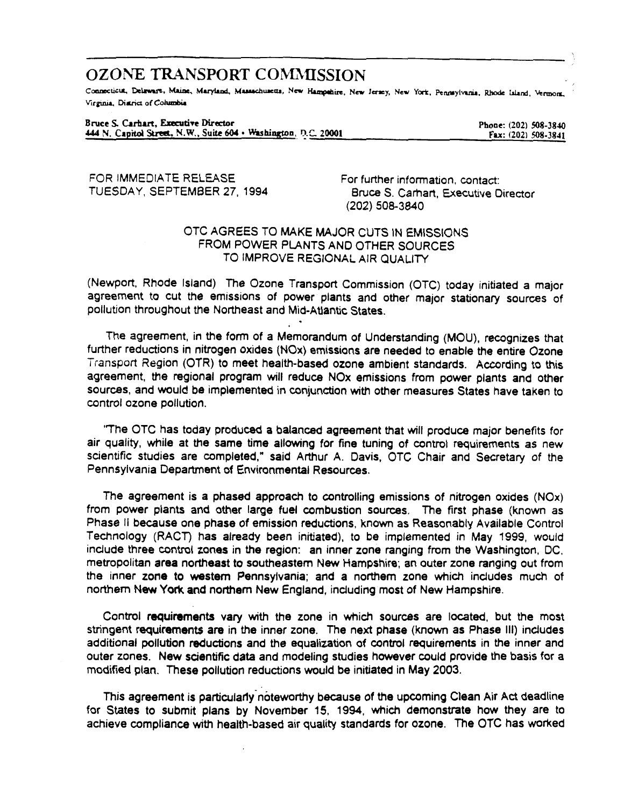# **OZONE TRANSPORT COMMISSION**

Connecticut, Delaware, Maine, Maryland, Massachusetts, New Hampshire, New Jersey, New York, Pennsylvania, Rhode Island, Vermont, Virginia, District of Columbia

Bruce S. Carhart, Executive Director 444 N. Capitol Street, N.W., Suite 604 · Washington, D.C. 20001

Phone: (202) 508-3840 Fax: (202) 508-3841

FOR IMMEDIATE RELEASE TUESDAY, SEPTEMBER 27, 1994

For further information, contact: Bruce S. Carhart, Executive Director (202) 508-3840

## OTC AGREES TO MAKE MAJOR CUTS IN EMISSIONS FROM POWER PLANTS AND OTHER SOURCES TO IMPROVE REGIONAL AIR QUALITY

(Newport, Rhode Island) The Ozone Transport Commission (OTC) today initiated a major agreement to cut the emissions of power plants and other major stationary sources of pollution throughout the Northeast and Mid-Atlantic States.

The agreement, in the form of a Memorandum of Understanding (MOU), recognizes that further reductions in nitrogen oxides (NOx) emissions are needed to enable the entire Ozone Transport Region (OTR) to meet health-based ozone ambient standards. According to this agreement, the regional program will reduce NOx emissions from power plants and other sources, and would be implemented in conjunction with other measures States have taken to control ozone pollution.

"The OTC has today produced a balanced agreement that will produce major benefits for air quality, while at the same time allowing for fine tuning of control requirements as new scientific studies are completed," said Arthur A. Davis, OTC Chair and Secretary of the Pennsylvania Department of Environmental Resources.

The agreement is a phased approach to controlling emissions of nitrogen oxides (NOx) from power plants and other large fuel combustion sources. The first phase (known as Phase II because one phase of emission reductions, known as Reasonably Available Control Technology (RACT) has already been initiated), to be implemented in May 1999, would include three control zones in the region: an inner zone ranging from the Washington, DC, metropolitan area northeast to southeastern New Hampshire; an outer zone ranging out from the inner zone to western Pennsylvania; and a northern zone which includes much of northern New York and northern New England, including most of New Hampshire.

Control requirements vary with the zone in which sources are located, but the most stringent requirements are in the inner zone. The next phase (known as Phase III) includes additional pollution reductions and the equalization of control requirements in the inner and outer zones. New scientific data and modeling studies however could provide the basis for a modified plan. These pollution reductions would be initiated in May 2003.

This agreement is particularly noteworthy because of the upcoming Clean Air Act deadline for States to submit plans by November 15, 1994, which demonstrate how they are to achieve compliance with health-based air quality standards for ozone. The OTC has worked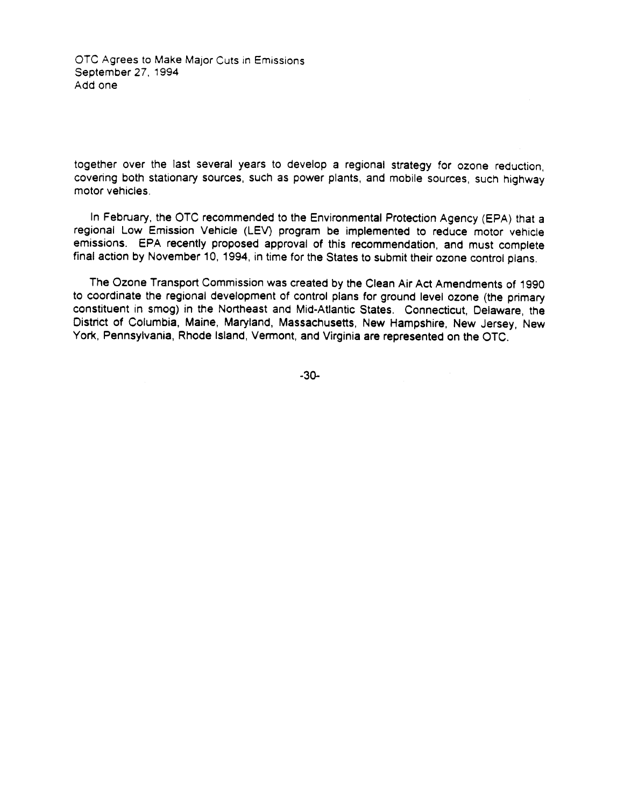OTC Agrees to Make Major Cuts in Emissions September 27, 1994 Add one

together over the last several years to develop a regional strategy for ozone reduction. covering both stationary sources, such as power plants, and mobile sources, such highway motor vehicles.

In February, the OTC recommended to the Environmental Protection Agency (EPA) that a regional Low Emission Vehicle (LEV) program be implemented to reduce motor vehicle emissions. EPA recently proposed approval of this recommendation, and must complete final action by November 10, 1994, in time for the States to submit their ozone control plans.

The Ozone Transport Commission was created by the Clean Air Act Amendments of 1990 to coordinate the regional development of control plans for ground level ozone (the primary constituent in smog) in the Northeast and Mid-Atlantic States. Connecticut, Delaware, the District of Columbia, Maine, Maryland, Massachusetts, New Hampshire, New Jersey, New York, Pennsylvania, Rhode Island, Vermont, and Virginia are represented on the OTC.

 $-30-$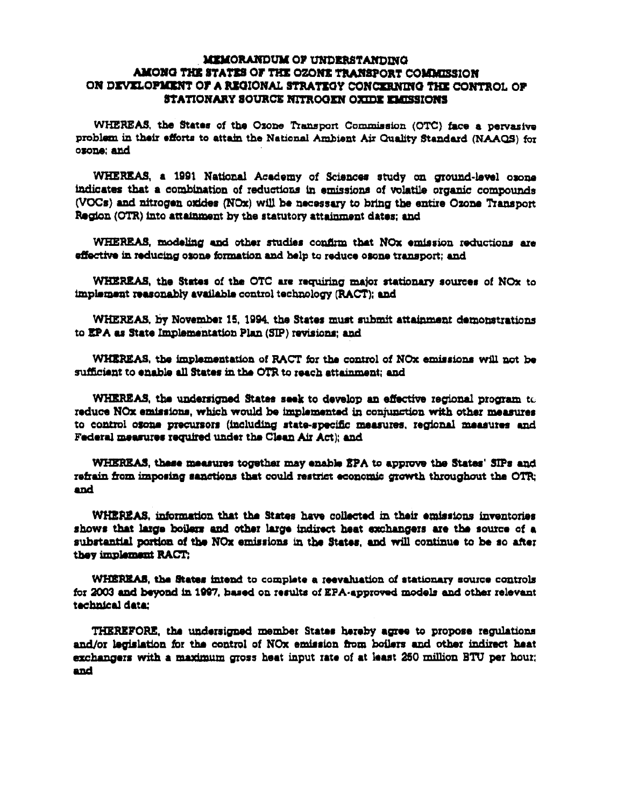### **MEMORANDUM OF UNDERSTANDING** AMONG THE STATES OF THE OZONE TRANSPORT COMMISSION ON DEVELOPMENT OF A REGIONAL STRATEGY CONCERNING THE CONTROL OF **STATIONARY SOURCE NITROGEN OXIDE EMISSIONS**

WHEREAS, the States of the Ozone Transport Commission (OTC) face a pervasive problem in their efforts to attain the National Ambient Air Quality Standard (NAAQS) for ozone; and

WHEREAS, a 1991 National Academy of Sciences study on ground-level oxone indicates that a combination of reductions in emissions of volatile organic compounds (VOCs) and nitrogen oxides (NOx) will be necessary to bring the entire Ozone Transport Region (OTR) into attainment by the statutory attainment dates; and

WHEREAS, modeling and other studies confirm that NOx emission reductions are effective in reducing osone formation and help to reduce osone transport; and

WHEREAS, the States of the OTC are requiring major stationary sources of NOx to implement reasonably available control technology (RACT); and

WHEREAS, by November 15, 1994, the States must submit attainment demonstrations to EPA as State Implementation Plan (SIP) revisions; and

WHEREAS, the implementation of RACT for the control of NOx emissions will not be sufficient to enable all States in the OTR to reach attainment: and

WHEREAS, the undersigned States seek to develop an effective regional program to reduce NOx emissions, which would be implemented in conjunction with other measures to control osone precursors (including state-specific measures, regional measures and Federal measures required under the Clean Air Act); and

WHEREAS, these measures together may enable EPA to approve the States' SIPs and refrain from imposing sanctions that could restrict economic growth throughout the OTR; and

WHEREAS, information that the States have collected in their emissions inventories shows that large boilers and other large indirect heat exchangers are the source of a substantial portion of the NOx emissions in the States, and will continue to be so after they implement RACT:

WHEREAS, the States intend to complete a reevaluation of stationary source controls for 2003 and beyond in 1997, hased on results of EPA-approved models and other relevant technical data:

THEREFORE, the undersigned member States hereby agree to propose regulations and/or legislation for the control of NOx emission from boilers and other indirect heat exchangers with a maximum gross heat input rate of at least 250 million BTU per hour; and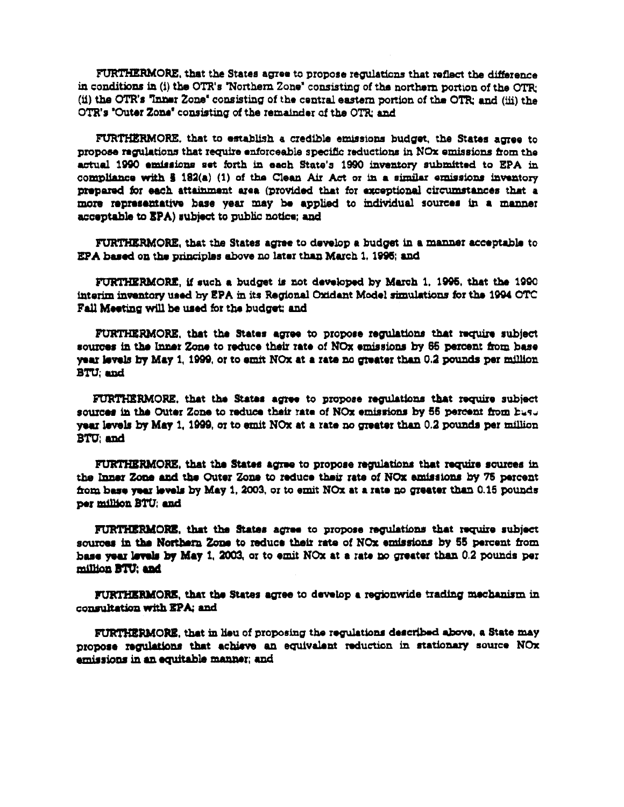FURTHERMORE, that the States agree to propose regulations that reflect the difference in conditions in (i) the OTR's "Northern Zone" consisting of the northern portion of the OTR: (ii) the OTR's "inner Zone" consisting of the central eastern portion of the OTR; and (iii) the OTR's "Outer Zone" consisting of the remainder of the OTR; and

FURTHERMORE, that to establish a credible emissions budget, the States agree to propose regulations that require enforceable specific reductions in NOx emissions from the actual 1990 emissions set forth in each State's 1990 inventory submitted to EPA in compliance with  $\frac{2}{3}$  182(a) (1) of the Clean Air Act or in a similar emissions inventory prepared for each attainment area (provided that for exceptional circumstances that a more representative base year may be applied to individual sources in a manner acceptable to EPA) subject to public notice; and

FURTHERMORE, that the States agree to develop a budget in a manner acceptable to EPA based on the principles above no later than March 1, 1996; and

FURTHERMORE, if such a budget is not developed by March 1, 1995, that the 1990 interim inventory used by EPA in its Regional Oxidant Model simulations for the 1994 OTC Fall Meeting will be used for the budget; and

FURTHERMORE, that the States agree to propose regulations that require subject sources in the Inner Zone to reduce their rate of NOx emissions by 65 percent from base year levels by May 1, 1999, or to emit NOx at a rate no greater than 0.2 pounds per million **BTU; and** 

FURTHERMORE, that the States agree to propose regulations that require subject sources in the Outer Zone to reduce their rate of NOx emissions by 55 percent from husu year levels by May 1, 1999, or to emit NOx at a rate no greater than 0.2 pounds per million **BTU** and

FURTHERMORE, that the States agree to propose regulations that require sources in the Inner Zone and the Outer Zone to reduce their rate of NOx emissions by 75 percent from base year levels by May 1, 2003, or to emit NOx at a rate no greater than 0.15 pounds per million BTU; and

FURTHERMORE, that the States agree to propose regulations that require subject sources in the Northern Zone to reduce their rate of NOx emissions by 55 percent from hase year levels by May 1, 2003, or to emit  $NOx$  at a rate no greater than 0.2 pounds per million BTU; and

FURTHERMORE, that the States agree to develop a regionwide trading mechanism in consultation with EPA; and

FURTHERMORE, that in lieu of proposing the regulations described above, a State may propose regulations that achieve an equivalent reduction in stationary source NOx emissions in an equitable manner; and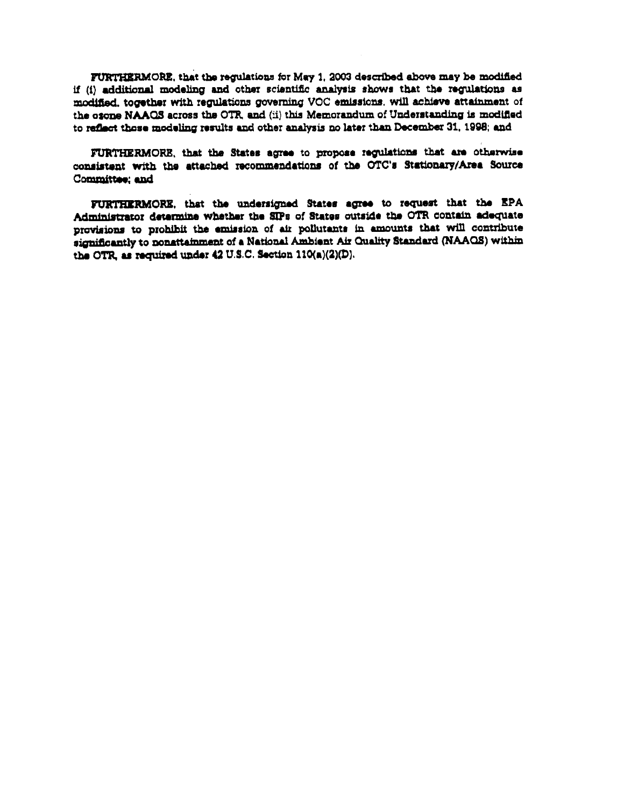FURTHERMORE, that the regulations for May 1, 2003 described above may be modified if (i) additional modeling and other scientific analysis shows that the regulations as modified, together with regulations governing VOC emissions, will achieve attainment of the osone NAAQS across the OTR, and (ii) this Memorandum of Understanding is modified to reflect those modeling results and other analysis no later than December 31, 1998; and

FURTHERMORE, that the States agree to propose regulations that are otherwise consistent with the attached recommendations of the OTC's Stationary/Area Source Committee; and

FURTHERMORE, that the undersigned States agree to request that the EPA Administrator determine whether the SIPs of States outside the OTR contain adequate provisions to prohibit the emission of air pollutants in amounts that will contribute significantly to nonattainment of a National Ambient Air Quality Standard (NAAQS) within the OTR, as required under 42 U.S.C. Section 110(a)(2)(D).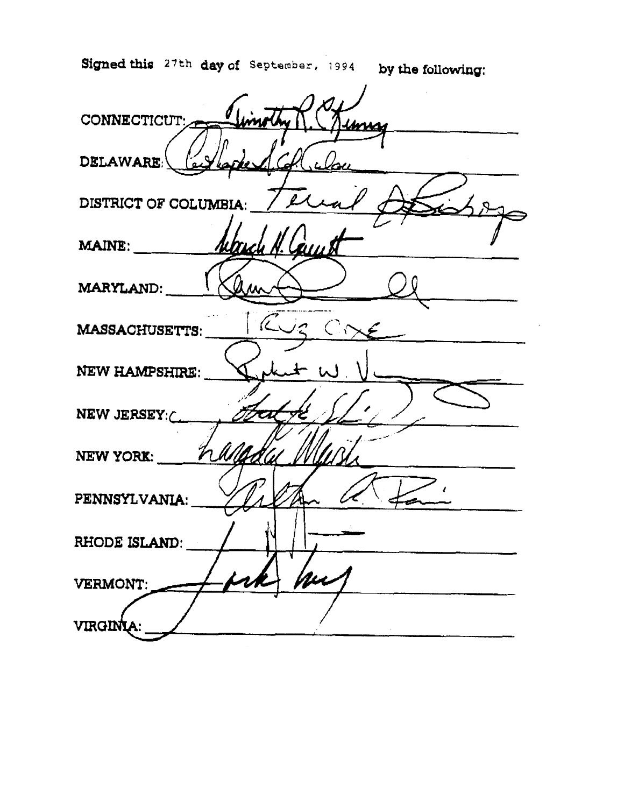Signed this 27th day of September, 1994 by the following:

CONNECTICUT: DELAWARE: DISTRICT OF COLUMBIA: **MAINE:** Cou MARYLAND: MASSACHUSETTS:  $\lambda$  $\left($ NEW HAMPSHIRE: NEW JERSEY: **NEW YORK:**  $\mathcal{V}$ PENNSYLVANIA: RHODE ISLAND: VERMONT: VIRGINI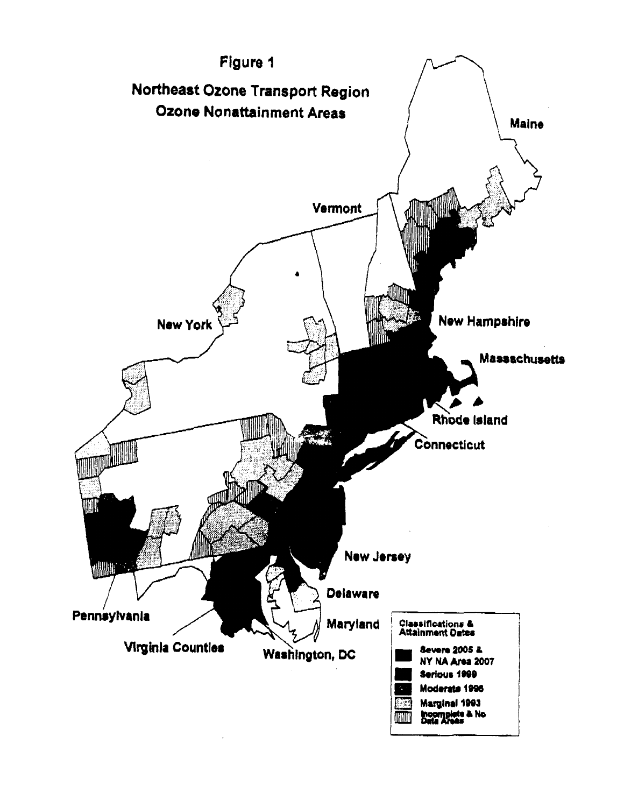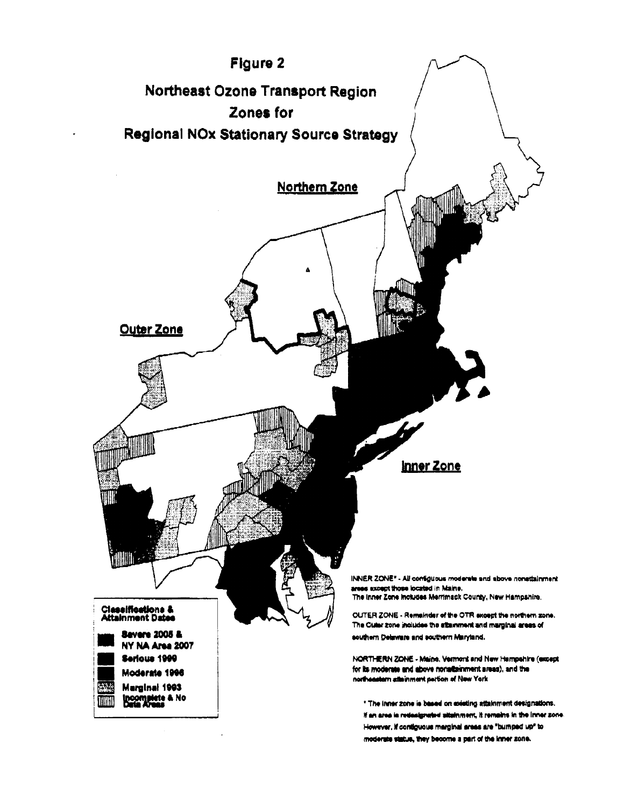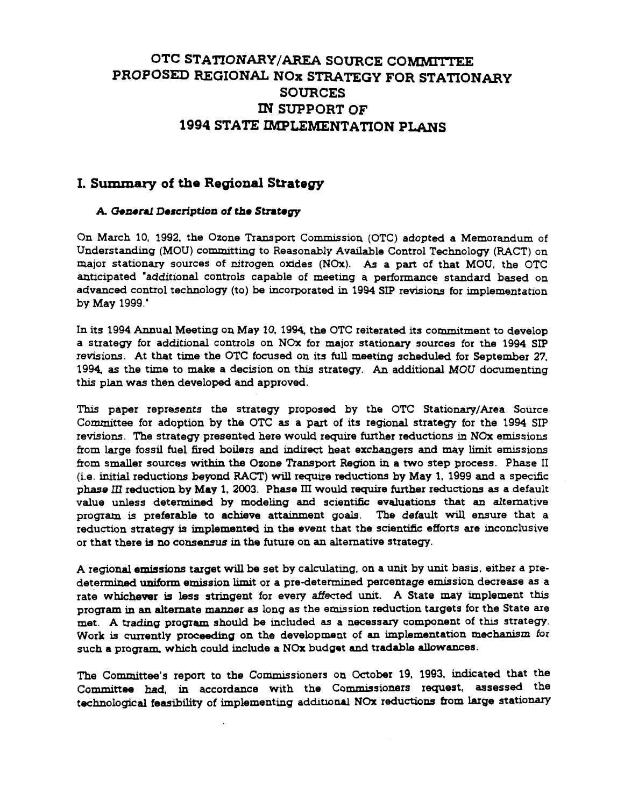# OTC STATIONARY/AREA SOURCE COMMITTEE PROPOSED REGIONAL NOx STRATEGY FOR STATIONARY **SOURCES** IN SUPPORT OF 1994 STATE IMPLEMENTATION PLANS

## I. Summary of the Regional Strategy

### A. General Description of the Strategy

On March 10, 1992, the Ozone Transport Commission (OTC) adopted a Memorandum of Understanding (MOU) committing to Reasonably Available Control Technology (RACT) on major stationary sources of nitrogen oxides (NOx). As a part of that MOU, the OTC anticipated "additional controls capable of meeting a performance standard based on advanced control technology (to) be incorporated in 1994 SIP revisions for implementation by May 1999."

In its 1994 Annual Meeting on May 10, 1994, the OTC reiterated its commitment to develop a strategy for additional controls on NOx for major stationary sources for the 1994 SIP revisions. At that time the OTC focused on its full meeting scheduled for September 27. 1994, as the time to make a decision on this strategy. An additional MOU documenting this plan was then developed and approved.

This paper represents the strategy proposed by the OTC Stationary/Area Source Committee for adoption by the OTC as a part of its regional strategy for the 1994 SIP revisions. The strategy presented here would require further reductions in NOx emissions from large fossil fuel fired boilers and indirect heat exchangers and may limit emissions from smaller sources within the Ozone Transport Region in a two step process. Phase II (i.e. initial reductions beyond RACT) will require reductions by May 1, 1999 and a specific phase III reduction by May 1, 2003. Phase III would require further reductions as a default value unless determined by modeling and scientific evaluations that an alternative program is preferable to achieve attainment goals. The default will ensure that a reduction strategy is implemented in the event that the scientific efforts are inconclusive or that there is no consensus in the future on an alternative strategy.

A regional emissions target will be set by calculating, on a unit by unit basis, either a predetermined uniform emission limit or a pre-determined percentage emission decrease as a rate whichever is less stringent for every affected unit. A State may implement this program in an alternate manner as long as the emission reduction targets for the State are met. A trading program should be included as a necessary component of this strategy. Work is currently proceeding on the development of an implementation mechanism for such a program, which could include a NOx budget and tradable allowances.

The Committee's report to the Commissioners on October 19, 1993, indicated that the Committee had, in accordance with the Commissioners request, assessed the technological feasibility of implementing additional NOx reductions from large stationary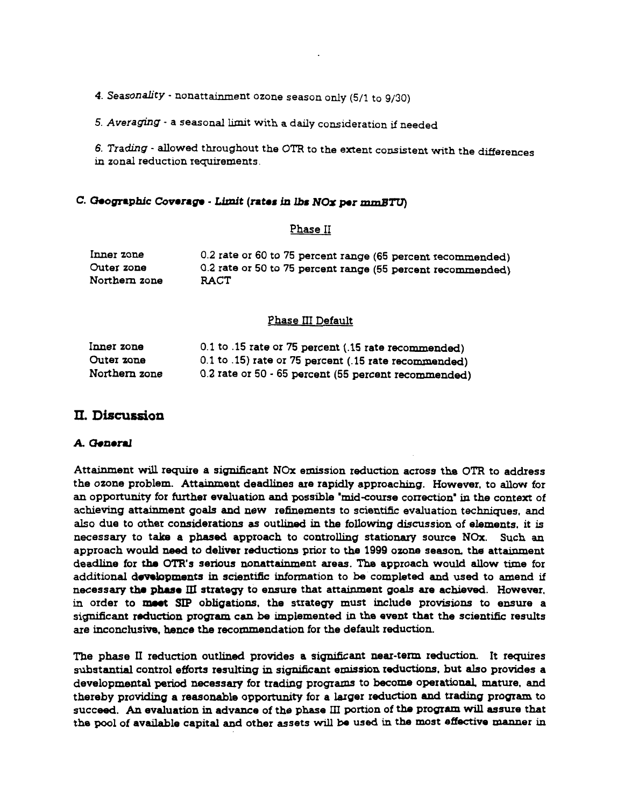4. Seasonality - nonattainment ozone season only (5/1 to 9/30)

5. Averaging - a seasonal limit with a daily consideration if needed

6. Trading - allowed throughout the OTR to the extent consistent with the differences in zonal reduction requirements.

### C. Geographic Coverage - Limit (rates in lbs NOx per mmBTU)

### Phase II

| Inner zone    | 0.2 rate or 60 to 75 percent range (65 percent recommended) |
|---------------|-------------------------------------------------------------|
| Outer zone    | 0.2 rate or 50 to 75 percent range (55 percent recommended) |
| Northern zone | <b>RACT</b>                                                 |

#### **Phase III Default**

| Inner zone    | 0.1 to .15 rate or 75 percent (.15 rate recommended)  |
|---------------|-------------------------------------------------------|
| Outer zone    | 0.1 to .15) rate or 75 percent (.15 rate recommended) |
| Northern zone | 0.2 rate or 50 - 65 percent (55 percent recommended)  |

### II. Discussion

### A. General

Attainment will require a significant NOx emission reduction across the OTR to address the ozone problem. Attainment deadlines are rapidly approaching. However, to allow for an opportunity for further evaluation and possible 'mid-course correction' in the context of achieving attainment goals and new refinements to scientific evaluation techniques, and also due to other considerations as outlined in the following discussion of elements, it is necessary to take a phased approach to controlling stationary source NOx. Such an approach would need to deliver reductions prior to the 1999 ozone season, the attainment deadline for the OTR's serious nonattainment areas. The approach would allow time for additional developments in scientific information to be completed and used to amend if necessary the phase III strategy to ensure that attainment goals are achieved. However, in order to meet SIP obligations, the strategy must include provisions to ensure a significant reduction program can be implemented in the event that the scientific results are inconclusive, hence the recommendation for the default reduction.

The phase II reduction outlined provides a significant near-term reduction. It requires substantial control efforts resulting in significant emission reductions, but also provides a developmental period necessary for trading programs to become operational, mature, and thereby providing a reasonable opportunity for a larger reduction and trading program to succeed. An evaluation in advance of the phase III portion of the program will assure that the pool of available capital and other assets will be used in the most effective manner in